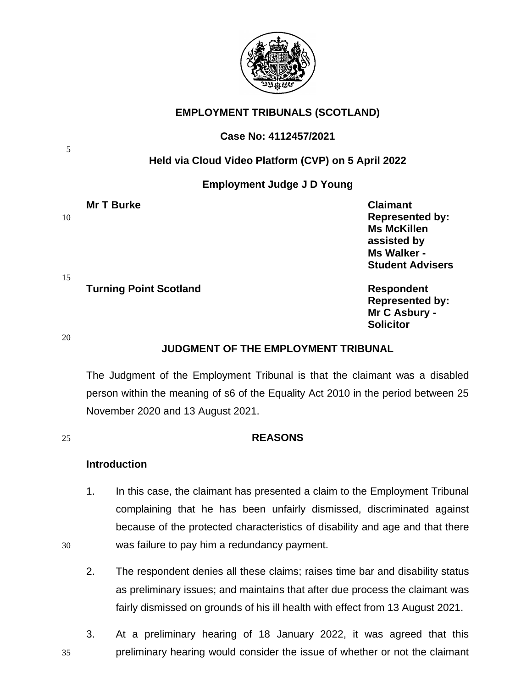

# **EMPLOYMENT TRIBUNALS (SCOTLAND)**

# **Case No: 4112457/2021**

# **Held via Cloud Video Platform (CVP) on 5 April 2022**

# **Employment Judge J D Young**

| <b>Mr T Burke</b>                   | <b>Claimant</b>         |
|-------------------------------------|-------------------------|
| 10                                  | <b>Represented by:</b>  |
|                                     | <b>Ms McKillen</b>      |
|                                     | assisted by             |
|                                     | Ms Walker -             |
|                                     | <b>Student Advisers</b> |
| 15<br><b>Turning Point Scotland</b> | <b>Respondent</b>       |
|                                     | <b>Represented by:</b>  |
|                                     | Mr C Asbury -           |

20

5

# **JUDGMENT OF THE EMPLOYMENT TRIBUNAL**

 **Solicitor**

The Judgment of the Employment Tribunal is that the claimant was a disabled person within the meaning of s6 of the Equality Act 2010 in the period between 25 November 2020 and 13 August 2021.

## 25 **REASONS**

# **Introduction**

- 1. In this case, the claimant has presented a claim to the Employment Tribunal complaining that he has been unfairly dismissed, discriminated against because of the protected characteristics of disability and age and that there 30 was failure to pay him a redundancy payment.
	- 2. The respondent denies all these claims; raises time bar and disability status as preliminary issues; and maintains that after due process the claimant was fairly dismissed on grounds of his ill health with effect from 13 August 2021.
- 3. At a preliminary hearing of 18 January 2022, it was agreed that this 35 preliminary hearing would consider the issue of whether or not the claimant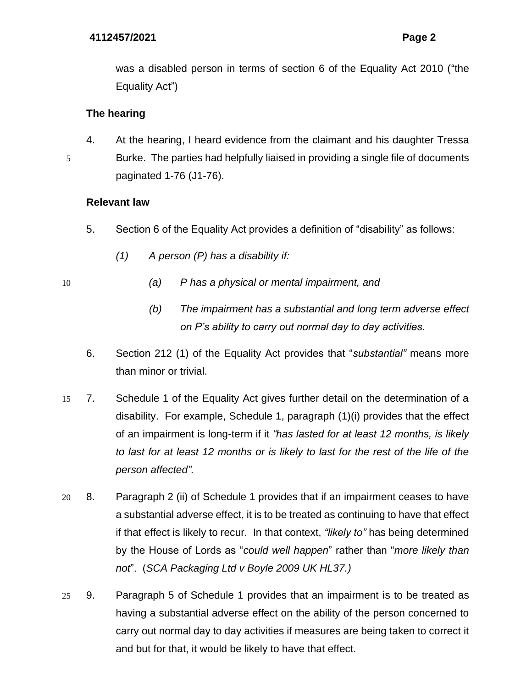was a disabled person in terms of section 6 of the Equality Act 2010 ("the Equality Act")

# **The hearing**

4. At the hearing, I heard evidence from the claimant and his daughter Tressa 5 Burke. The parties had helpfully liaised in providing a single file of documents paginated 1-76 (J1-76).

# **Relevant law**

- 5. Section 6 of the Equality Act provides a definition of "disability" as follows:
	- *(1) A person (P) has a disability if:*
- 
- 10 *(a) P has a physical or mental impairment, and*
	- *(b) The impairment has a substantial and long term adverse effect on P's ability to carry out normal day to day activities.*
	- 6. Section 212 (1) of the Equality Act provides that "*substantial"* means more than minor or trivial.
- 15 7. Schedule 1 of the Equality Act gives further detail on the determination of a disability. For example, Schedule 1, paragraph (1)(i) provides that the effect of an impairment is long-term if it *"has lasted for at least 12 months, is likely to last for at least 12 months or is likely to last for the rest of the life of the person affected".*
- 20 8. Paragraph 2 (ii) of Schedule 1 provides that if an impairment ceases to have a substantial adverse effect, it is to be treated as continuing to have that effect if that effect is likely to recur. In that context, *"likely to"* has being determined by the House of Lords as "*could well happen*" rather than "*more likely than not*". (*SCA Packaging Ltd v Boyle 2009 UK HL37.)*
- 25 9. Paragraph 5 of Schedule 1 provides that an impairment is to be treated as having a substantial adverse effect on the ability of the person concerned to carry out normal day to day activities if measures are being taken to correct it and but for that, it would be likely to have that effect.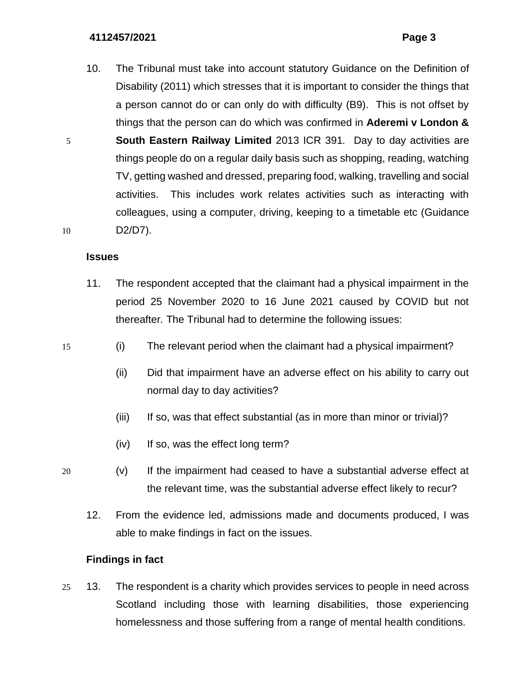10. The Tribunal must take into account statutory Guidance on the Definition of Disability (2011) which stresses that it is important to consider the things that a person cannot do or can only do with difficulty (B9). This is not offset by things that the person can do which was confirmed in **Aderemi v London &**  5 **South Eastern Railway Limited** 2013 ICR 391*.* Day to day activities are things people do on a regular daily basis such as shopping, reading, watching TV, getting washed and dressed, preparing food, walking, travelling and social activities. This includes work relates activities such as interacting with colleagues, using a computer, driving, keeping to a timetable etc (Guidance 10 D2/D7).

## **Issues**

- 11. The respondent accepted that the claimant had a physical impairment in the period 25 November 2020 to 16 June 2021 caused by COVID but not thereafter*.* The Tribunal had to determine the following issues:
- 15 (i) The relevant period when the claimant had a physical impairment?
	- (ii) Did that impairment have an adverse effect on his ability to carry out normal day to day activities?
	- (iii) If so, was that effect substantial (as in more than minor or trivial)?
	- (iv) If so, was the effect long term?
- 20 (v) If the impairment had ceased to have a substantial adverse effect at the relevant time, was the substantial adverse effect likely to recur?
	- 12. From the evidence led, admissions made and documents produced, I was able to make findings in fact on the issues.

## **Findings in fact**

25 13. The respondent is a charity which provides services to people in need across Scotland including those with learning disabilities, those experiencing homelessness and those suffering from a range of mental health conditions.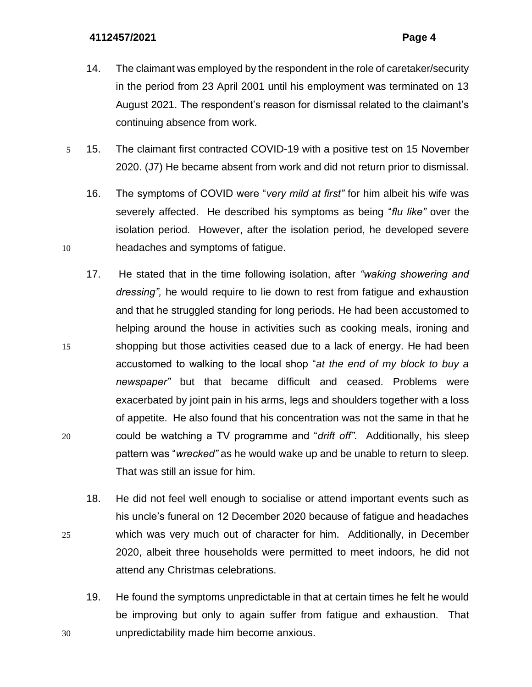- 14. The claimant was employed by the respondent in the role of caretaker/security in the period from 23 April 2001 until his employment was terminated on 13 August 2021. The respondent's reason for dismissal related to the claimant's continuing absence from work.
- 5 15. The claimant first contracted COVID-19 with a positive test on 15 November 2020. (J7) He became absent from work and did not return prior to dismissal.
- 16. The symptoms of COVID were "*very mild at first"* for him albeit his wife was severely affected. He described his symptoms as being "*flu like"* over the isolation period. However, after the isolation period, he developed severe 10 headaches and symptoms of fatigue.
- 17. He stated that in the time following isolation, after *"waking showering and dressing",* he would require to lie down to rest from fatigue and exhaustion and that he struggled standing for long periods. He had been accustomed to helping around the house in activities such as cooking meals, ironing and 15 shopping but those activities ceased due to a lack of energy. He had been accustomed to walking to the local shop "*at the end of my block to buy a newspaper"* but that became difficult and ceased. Problems were exacerbated by joint pain in his arms, legs and shoulders together with a loss of appetite. He also found that his concentration was not the same in that he 20 could be watching a TV programme and "*drift off".* Additionally, his sleep pattern was "*wrecked"* as he would wake up and be unable to return to sleep. That was still an issue for him.
- 18. He did not feel well enough to socialise or attend important events such as his uncle's funeral on 12 December 2020 because of fatigue and headaches 25 which was very much out of character for him. Additionally, in December 2020, albeit three households were permitted to meet indoors, he did not attend any Christmas celebrations.
- 19. He found the symptoms unpredictable in that at certain times he felt he would be improving but only to again suffer from fatigue and exhaustion. That 30 unpredictability made him become anxious.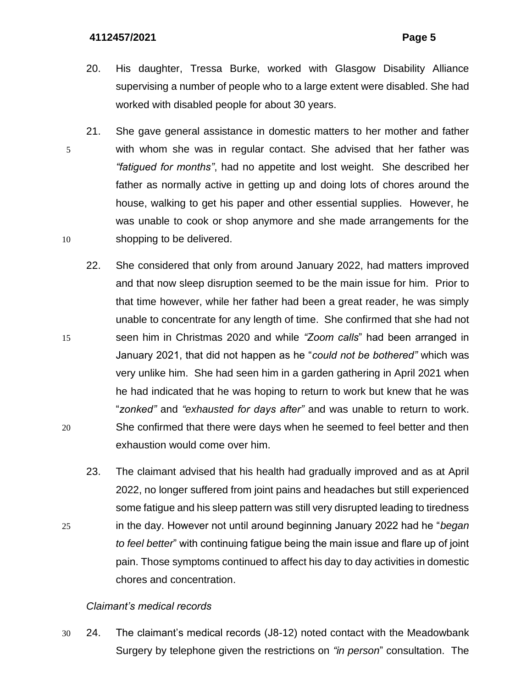- 20. His daughter, Tressa Burke, worked with Glasgow Disability Alliance supervising a number of people who to a large extent were disabled. She had worked with disabled people for about 30 years.
- 21. She gave general assistance in domestic matters to her mother and father 5 with whom she was in regular contact. She advised that her father was *"fatigued for months"*, had no appetite and lost weight. She described her father as normally active in getting up and doing lots of chores around the house, walking to get his paper and other essential supplies. However, he was unable to cook or shop anymore and she made arrangements for the 10 shopping to be delivered.
- 22. She considered that only from around January 2022, had matters improved and that now sleep disruption seemed to be the main issue for him. Prior to that time however, while her father had been a great reader, he was simply unable to concentrate for any length of time. She confirmed that she had not 15 seen him in Christmas 2020 and while *"Zoom calls*" had been arranged in January 2021, that did not happen as he "*could not be bothered"* which was very unlike him. She had seen him in a garden gathering in April 2021 when he had indicated that he was hoping to return to work but knew that he was "*zonked"* and *"exhausted for days after"* and was unable to return to work. 20 She confirmed that there were days when he seemed to feel better and then exhaustion would come over him.
- 23. The claimant advised that his health had gradually improved and as at April 2022, no longer suffered from joint pains and headaches but still experienced some fatigue and his sleep pattern was still very disrupted leading to tiredness 25 in the day. However not until around beginning January 2022 had he "*began to feel better*" with continuing fatigue being the main issue and flare up of joint pain. Those symptoms continued to affect his day to day activities in domestic chores and concentration.

## *Claimant's medical records*

30 24. The claimant's medical records (J8-12) noted contact with the Meadowbank Surgery by telephone given the restrictions on *"in person*" consultation. The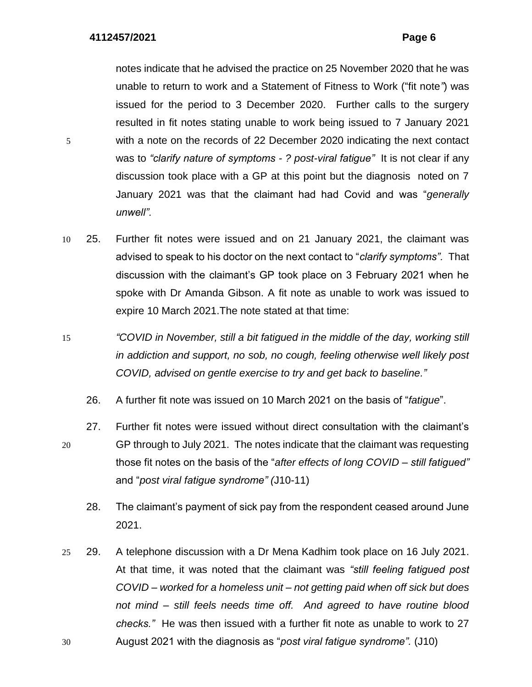notes indicate that he advised the practice on 25 November 2020 that he was unable to return to work and a Statement of Fitness to Work ("fit note*"*) was issued for the period to 3 December 2020. Further calls to the surgery resulted in fit notes stating unable to work being issued to 7 January 2021 5 with a note on the records of 22 December 2020 indicating the next contact was to *"clarify nature of symptoms - ? post-viral fatigue"* It is not clear if any discussion took place with a GP at this point but the diagnosis noted on 7 January 2021 was that the claimant had had Covid and was "*generally unwell".*

- 10 25. Further fit notes were issued and on 21 January 2021, the claimant was advised to speak to his doctor on the next contact to "*clarify symptoms".* That discussion with the claimant's GP took place on 3 February 2021 when he spoke with Dr Amanda Gibson. A fit note as unable to work was issued to expire 10 March 2021.The note stated at that time:
- 15 *"COVID in November, still a bit fatigued in the middle of the day, working still in addiction and support, no sob, no cough, feeling otherwise well likely post COVID, advised on gentle exercise to try and get back to baseline."*
	- 26. A further fit note was issued on 10 March 2021 on the basis of "*fatigue*".
- 27. Further fit notes were issued without direct consultation with the claimant's 20 GP through to July 2021. The notes indicate that the claimant was requesting those fit notes on the basis of the "*after effects of long COVID – still fatigued"* and "*post viral fatigue syndrome" (*J10-11)
	- 28. The claimant's payment of sick pay from the respondent ceased around June 2021.
- 25 29. A telephone discussion with a Dr Mena Kadhim took place on 16 July 2021. At that time, it was noted that the claimant was *"still feeling fatigued post COVID – worked for a homeless unit – not getting paid when off sick but does not mind – still feels needs time off. And agreed to have routine blood checks."* He was then issued with a further fit note as unable to work to 27 30 August 2021 with the diagnosis as "*post viral fatigue syndrome".* (J10)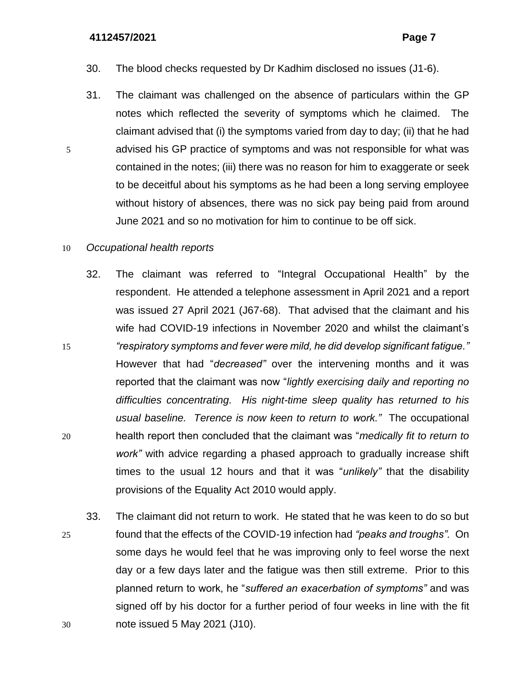- 30. The blood checks requested by Dr Kadhim disclosed no issues (J1-6).
- 31. The claimant was challenged on the absence of particulars within the GP notes which reflected the severity of symptoms which he claimed. The claimant advised that (i) the symptoms varied from day to day; (ii) that he had 5 advised his GP practice of symptoms and was not responsible for what was contained in the notes; (iii) there was no reason for him to exaggerate or seek to be deceitful about his symptoms as he had been a long serving employee without history of absences, there was no sick pay being paid from around June 2021 and so no motivation for him to continue to be off sick.

### 10 *Occupational health reports*

- 32. The claimant was referred to "Integral Occupational Health" by the respondent. He attended a telephone assessment in April 2021 and a report was issued 27 April 2021 (J67-68). That advised that the claimant and his wife had COVID-19 infections in November 2020 and whilst the claimant's 15 *"respiratory symptoms and fever were mild, he did develop significant fatigue."* However that had "*decreased"* over the intervening months and it was reported that the claimant was now "*lightly exercising daily and reporting no difficulties concentrating. His night-time sleep quality has returned to his usual baseline. Terence is now keen to return to work."* The occupational 20 health report then concluded that the claimant was "*medically fit to return to work"* with advice regarding a phased approach to gradually increase shift times to the usual 12 hours and that it was "*unlikely"* that the disability provisions of the Equality Act 2010 would apply.
- 33. The claimant did not return to work. He stated that he was keen to do so but 25 found that the effects of the COVID-19 infection had *"peaks and troughs".* On some days he would feel that he was improving only to feel worse the next day or a few days later and the fatigue was then still extreme. Prior to this planned return to work, he "*suffered an exacerbation of symptoms"* and was signed off by his doctor for a further period of four weeks in line with the fit 30 note issued 5 May 2021 (J10).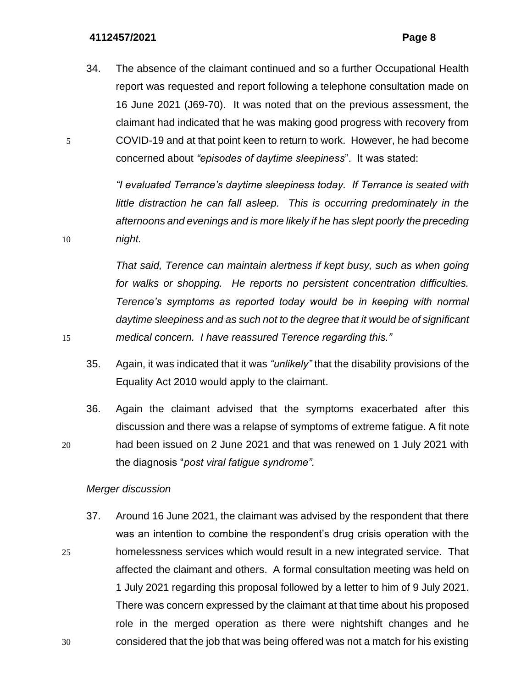34. The absence of the claimant continued and so a further Occupational Health report was requested and report following a telephone consultation made on 16 June 2021 (J69-70). It was noted that on the previous assessment, the claimant had indicated that he was making good progress with recovery from 5 COVID-19 and at that point keen to return to work. However, he had become concerned about *"episodes of daytime sleepiness*". It was stated:

*"I evaluated Terrance's daytime sleepiness today. If Terrance is seated with little distraction he can fall asleep. This is occurring predominately in the afternoons and evenings and is more likely if he has slept poorly the preceding*  10 *night.* 

*That said, Terence can maintain alertness if kept busy, such as when going for walks or shopping. He reports no persistent concentration difficulties. Terence's symptoms as reported today would be in keeping with normal daytime sleepiness and as such not to the degree that it would be of significant*  15 *medical concern. I have reassured Terence regarding this."*

- 35. Again, it was indicated that it was *"unlikely"* that the disability provisions of the Equality Act 2010 would apply to the claimant.
- 36. Again the claimant advised that the symptoms exacerbated after this discussion and there was a relapse of symptoms of extreme fatigue. A fit note 20 had been issued on 2 June 2021 and that was renewed on 1 July 2021 with the diagnosis "*post viral fatigue syndrome".*

## *Merger discussion*

37. Around 16 June 2021, the claimant was advised by the respondent that there was an intention to combine the respondent's drug crisis operation with the 25 homelessness services which would result in a new integrated service. That affected the claimant and others. A formal consultation meeting was held on 1 July 2021 regarding this proposal followed by a letter to him of 9 July 2021. There was concern expressed by the claimant at that time about his proposed role in the merged operation as there were nightshift changes and he 30 considered that the job that was being offered was not a match for his existing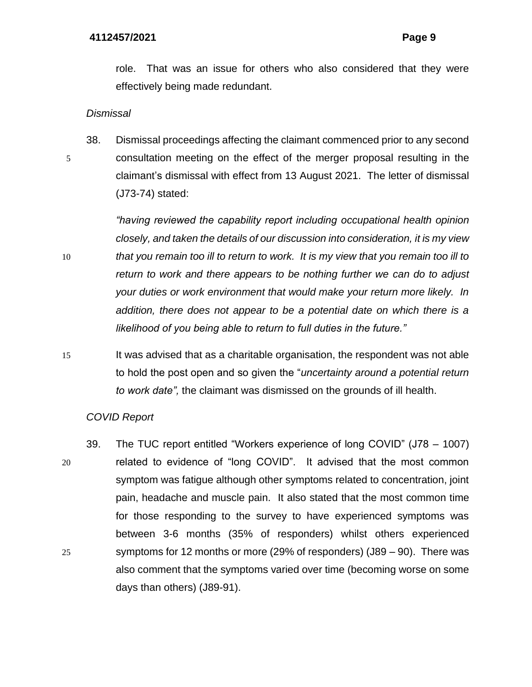role. That was an issue for others who also considered that they were effectively being made redundant.

*Dismissal* 

38. Dismissal proceedings affecting the claimant commenced prior to any second 5 consultation meeting on the effect of the merger proposal resulting in the claimant's dismissal with effect from 13 August 2021. The letter of dismissal (J73-74) stated:

*"having reviewed the capability report including occupational health opinion closely, and taken the details of our discussion into consideration, it is my view*  10 *that you remain too ill to return to work. It is my view that you remain too ill to return to work and there appears to be nothing further we can do to adjust your duties or work environment that would make your return more likely. In addition, there does not appear to be a potential date on which there is a likelihood of you being able to return to full duties in the future."*

15 It was advised that as a charitable organisation, the respondent was not able to hold the post open and so given the "*uncertainty around a potential return to work date",* the claimant was dismissed on the grounds of ill health.

# *COVID Report*

39. The TUC report entitled "Workers experience of long COVID" (J78 – 1007) 20 related to evidence of "long COVID". It advised that the most common symptom was fatigue although other symptoms related to concentration, joint pain, headache and muscle pain. It also stated that the most common time for those responding to the survey to have experienced symptoms was between 3-6 months (35% of responders) whilst others experienced 25 symptoms for 12 months or more (29% of responders) (J89 – 90). There was also comment that the symptoms varied over time (becoming worse on some days than others) (J89-91).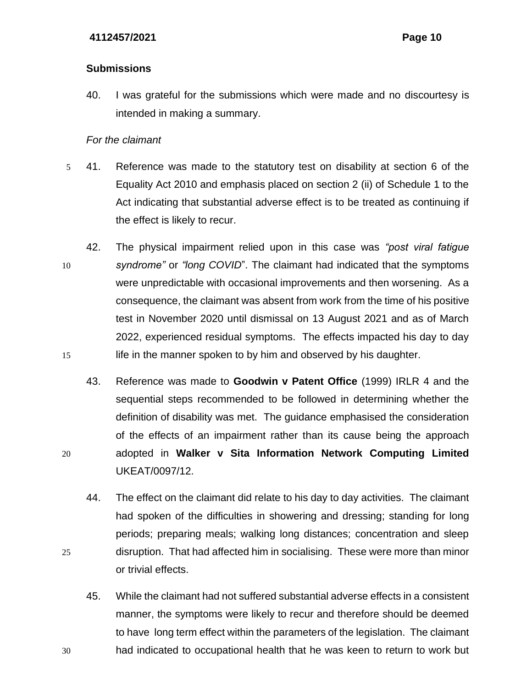# **Submissions**

40. I was grateful for the submissions which were made and no discourtesy is intended in making a summary.

# *For the claimant*

- 5 41. Reference was made to the statutory test on disability at section 6 of the Equality Act 2010 and emphasis placed on section 2 (ii) of Schedule 1 to the Act indicating that substantial adverse effect is to be treated as continuing if the effect is likely to recur.
- 42. The physical impairment relied upon in this case was *"post viral fatigue*  10 *syndrome"* or *"long COVID*". The claimant had indicated that the symptoms were unpredictable with occasional improvements and then worsening. As a consequence, the claimant was absent from work from the time of his positive test in November 2020 until dismissal on 13 August 2021 and as of March 2022, experienced residual symptoms. The effects impacted his day to day 15 life in the manner spoken to by him and observed by his daughter.
- 43. Reference was made to **Goodwin v Patent Office** (1999) IRLR 4 and the sequential steps recommended to be followed in determining whether the definition of disability was met. The guidance emphasised the consideration of the effects of an impairment rather than its cause being the approach 20 adopted in **Walker v Sita Information Network Computing Limited** UKEAT/0097/12.
- 44. The effect on the claimant did relate to his day to day activities. The claimant had spoken of the difficulties in showering and dressing; standing for long periods; preparing meals; walking long distances; concentration and sleep 25 disruption. That had affected him in socialising. These were more than minor or trivial effects.
- 45. While the claimant had not suffered substantial adverse effects in a consistent manner, the symptoms were likely to recur and therefore should be deemed to have long term effect within the parameters of the legislation. The claimant 30 had indicated to occupational health that he was keen to return to work but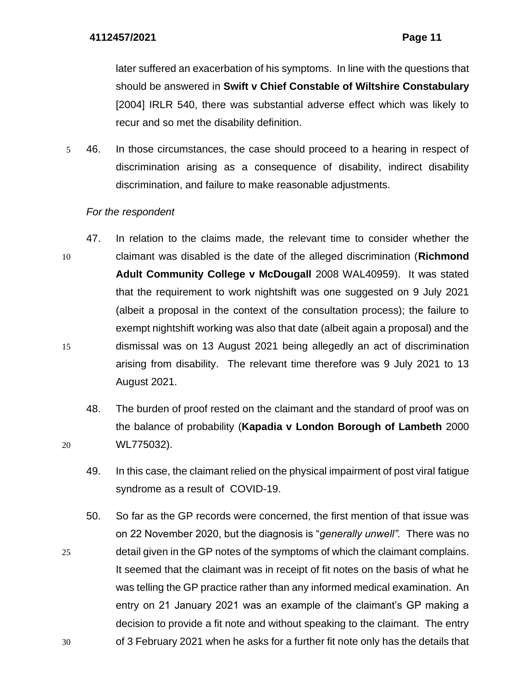later suffered an exacerbation of his symptoms. In line with the questions that should be answered in **Swift v Chief Constable of Wiltshire Constabulary** [2004] IRLR 540, there was substantial adverse effect which was likely to recur and so met the disability definition.

5 46. In those circumstances, the case should proceed to a hearing in respect of discrimination arising as a consequence of disability, indirect disability discrimination, and failure to make reasonable adjustments.

# *For the respondent*

- 47. In relation to the claims made, the relevant time to consider whether the 10 claimant was disabled is the date of the alleged discrimination (**Richmond Adult Community College v McDougall** 2008 WAL40959). It was stated that the requirement to work nightshift was one suggested on 9 July 2021 (albeit a proposal in the context of the consultation process); the failure to exempt nightshift working was also that date (albeit again a proposal) and the 15 dismissal was on 13 August 2021 being allegedly an act of discrimination arising from disability. The relevant time therefore was 9 July 2021 to 13 August 2021.
- 48. The burden of proof rested on the claimant and the standard of proof was on the balance of probability (**Kapadia v London Borough of Lambeth** 2000 20 WL775032).
	- 49. In this case, the claimant relied on the physical impairment of post viral fatigue syndrome as a result of COVID-19.
- 50. So far as the GP records were concerned, the first mention of that issue was on 22 November 2020, but the diagnosis is "*generally unwell".* There was no 25 detail given in the GP notes of the symptoms of which the claimant complains. It seemed that the claimant was in receipt of fit notes on the basis of what he was telling the GP practice rather than any informed medical examination. An entry on 21 January 2021 was an example of the claimant's GP making a decision to provide a fit note and without speaking to the claimant. The entry 30 of 3 February 2021 when he asks for a further fit note only has the details that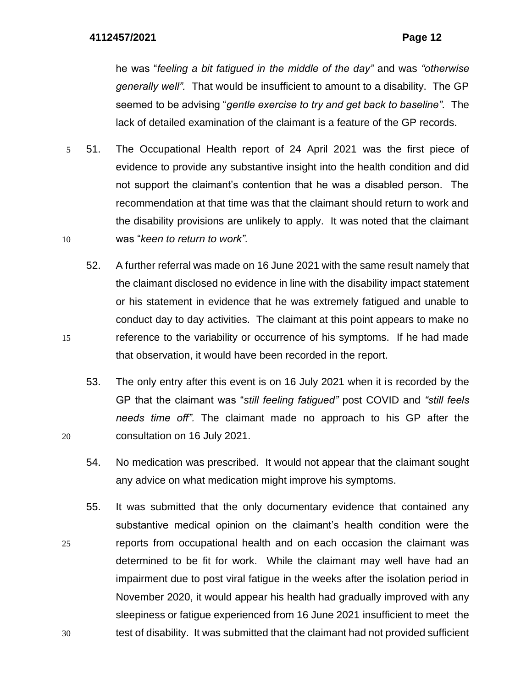he was "*feeling a bit fatigued in the middle of the day"* and was *"otherwise generally well".* That would be insufficient to amount to a disability. The GP seemed to be advising "*gentle exercise to try and get back to baseline".* The lack of detailed examination of the claimant is a feature of the GP records.

- 5 51. The Occupational Health report of 24 April 2021 was the first piece of evidence to provide any substantive insight into the health condition and did not support the claimant's contention that he was a disabled person. The recommendation at that time was that the claimant should return to work and the disability provisions are unlikely to apply. It was noted that the claimant 10 was "*keen to return to work".*
- 52. A further referral was made on 16 June 2021 with the same result namely that the claimant disclosed no evidence in line with the disability impact statement or his statement in evidence that he was extremely fatigued and unable to conduct day to day activities. The claimant at this point appears to make no 15 reference to the variability or occurrence of his symptoms. If he had made that observation, it would have been recorded in the report.
- 53. The only entry after this event is on 16 July 2021 when it is recorded by the GP that the claimant was "*still feeling fatigued"* post COVID and *"still feels needs time off".* The claimant made no approach to his GP after the 20 consultation on 16 July 2021.
	- 54. No medication was prescribed. It would not appear that the claimant sought any advice on what medication might improve his symptoms.
- 55. It was submitted that the only documentary evidence that contained any substantive medical opinion on the claimant's health condition were the 25 reports from occupational health and on each occasion the claimant was determined to be fit for work. While the claimant may well have had an impairment due to post viral fatigue in the weeks after the isolation period in November 2020, it would appear his health had gradually improved with any sleepiness or fatigue experienced from 16 June 2021 insufficient to meet the 30 test of disability. It was submitted that the claimant had not provided sufficient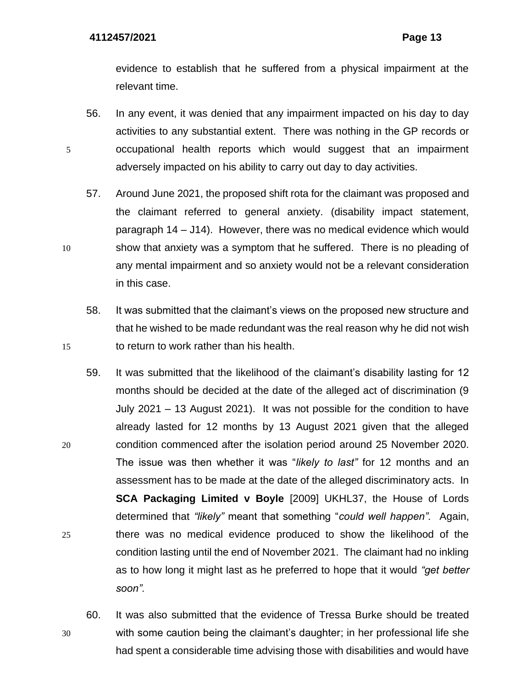evidence to establish that he suffered from a physical impairment at the relevant time.

- 56. In any event, it was denied that any impairment impacted on his day to day activities to any substantial extent. There was nothing in the GP records or 5 occupational health reports which would suggest that an impairment adversely impacted on his ability to carry out day to day activities.
- 57. Around June 2021, the proposed shift rota for the claimant was proposed and the claimant referred to general anxiety. (disability impact statement, paragraph 14 – J14). However, there was no medical evidence which would 10 show that anxiety was a symptom that he suffered. There is no pleading of any mental impairment and so anxiety would not be a relevant consideration in this case.
- 58. It was submitted that the claimant's views on the proposed new structure and that he wished to be made redundant was the real reason why he did not wish 15 to return to work rather than his health.
- 59. It was submitted that the likelihood of the claimant's disability lasting for 12 months should be decided at the date of the alleged act of discrimination (9 July 2021 – 13 August 2021). It was not possible for the condition to have already lasted for 12 months by 13 August 2021 given that the alleged 20 condition commenced after the isolation period around 25 November 2020. The issue was then whether it was "*likely to last"* for 12 months and an assessment has to be made at the date of the alleged discriminatory acts. In **SCA Packaging Limited v Boyle** [2009] UKHL37, the House of Lords determined that *"likely"* meant that something "*could well happen".* Again, 25 there was no medical evidence produced to show the likelihood of the condition lasting until the end of November 2021. The claimant had no inkling as to how long it might last as he preferred to hope that it would *"get better soon".*
- 60. It was also submitted that the evidence of Tressa Burke should be treated 30 with some caution being the claimant's daughter; in her professional life she had spent a considerable time advising those with disabilities and would have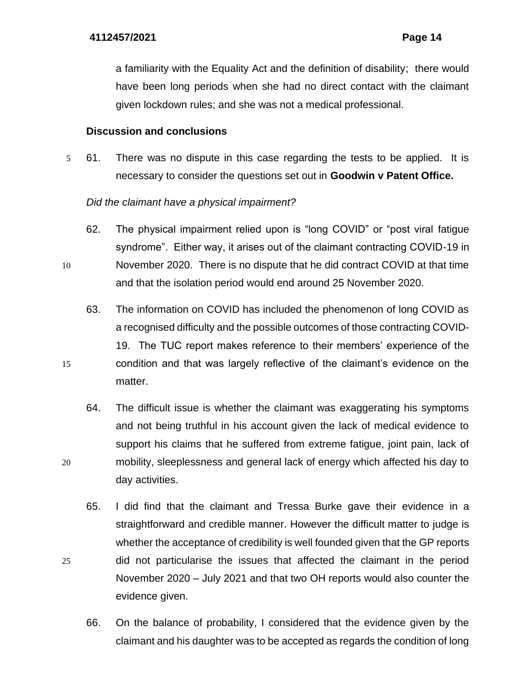a familiarity with the Equality Act and the definition of disability; there would have been long periods when she had no direct contact with the claimant given lockdown rules; and she was not a medical professional.

## **Discussion and conclusions**

5 61. There was no dispute in this case regarding the tests to be applied. It is necessary to consider the questions set out in **Goodwin v Patent Office.**

# *Did the claimant have a physical impairment?*

- 62. The physical impairment relied upon is "long COVID" or "post viral fatigue syndrome". Either way, it arises out of the claimant contracting COVID-19 in 10 November 2020. There is no dispute that he did contract COVID at that time
	- and that the isolation period would end around 25 November 2020.
- 63. The information on COVID has included the phenomenon of long COVID as a recognised difficulty and the possible outcomes of those contracting COVID-19. The TUC report makes reference to their members' experience of the 15 condition and that was largely reflective of the claimant's evidence on the matter.
- 64. The difficult issue is whether the claimant was exaggerating his symptoms and not being truthful in his account given the lack of medical evidence to support his claims that he suffered from extreme fatigue, joint pain, lack of 20 mobility, sleeplessness and general lack of energy which affected his day to day activities.
- 65. I did find that the claimant and Tressa Burke gave their evidence in a straightforward and credible manner. However the difficult matter to judge is whether the acceptance of credibility is well founded given that the GP reports 25 did not particularise the issues that affected the claimant in the period November 2020 – July 2021 and that two OH reports would also counter the evidence given.
	- 66. On the balance of probability, I considered that the evidence given by the claimant and his daughter was to be accepted as regards the condition of long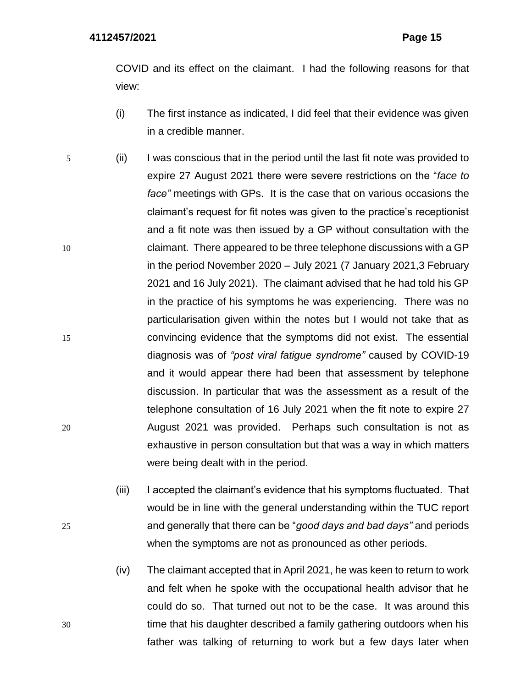COVID and its effect on the claimant. I had the following reasons for that view:

- (i) The first instance as indicated, I did feel that their evidence was given in a credible manner.
- 5 (ii) I was conscious that in the period until the last fit note was provided to expire 27 August 2021 there were severe restrictions on the "*face to face"* meetings with GPs. It is the case that on various occasions the claimant's request for fit notes was given to the practice's receptionist and a fit note was then issued by a GP without consultation with the 10 claimant. There appeared to be three telephone discussions with a GP in the period November 2020 – July 2021 (7 January 2021,3 February 2021 and 16 July 2021). The claimant advised that he had told his GP in the practice of his symptoms he was experiencing. There was no particularisation given within the notes but I would not take that as 15 convincing evidence that the symptoms did not exist. The essential diagnosis was of *"post viral fatigue syndrome"* caused by COVID-19 and it would appear there had been that assessment by telephone discussion. In particular that was the assessment as a result of the telephone consultation of 16 July 2021 when the fit note to expire 27 20 August 2021 was provided. Perhaps such consultation is not as exhaustive in person consultation but that was a way in which matters were being dealt with in the period.
- (iii) I accepted the claimant's evidence that his symptoms fluctuated. That would be in line with the general understanding within the TUC report 25 and generally that there can be "*good days and bad days"* and periods when the symptoms are not as pronounced as other periods.
- (iv) The claimant accepted that in April 2021, he was keen to return to work and felt when he spoke with the occupational health advisor that he could do so. That turned out not to be the case. It was around this 30 time that his daughter described a family gathering outdoors when his father was talking of returning to work but a few days later when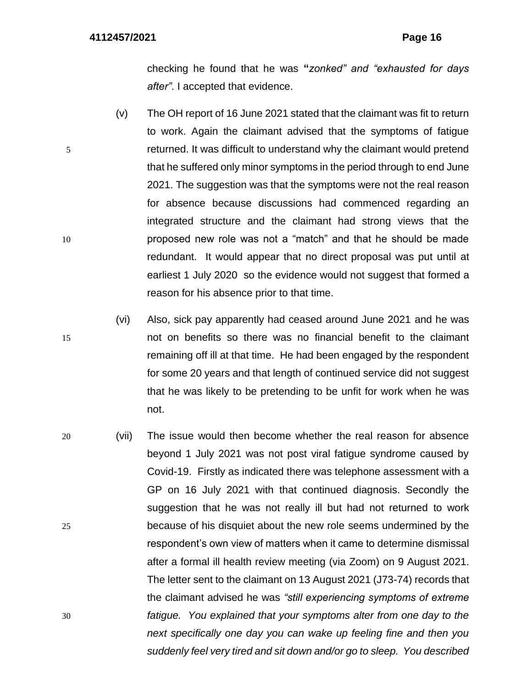checking he found that he was **"***zonked" and "exhausted for days after"*. I accepted that evidence.

- (v) The OH report of 16 June 2021 stated that the claimant was fit to return to work. Again the claimant advised that the symptoms of fatigue 5 returned. It was difficult to understand why the claimant would pretend that he suffered only minor symptoms in the period through to end June 2021. The suggestion was that the symptoms were not the real reason for absence because discussions had commenced regarding an integrated structure and the claimant had strong views that the 10 proposed new role was not a "match" and that he should be made redundant. It would appear that no direct proposal was put until at earliest 1 July 2020 so the evidence would not suggest that formed a reason for his absence prior to that time.
- (vi) Also, sick pay apparently had ceased around June 2021 and he was 15 not on benefits so there was no financial benefit to the claimant remaining off ill at that time. He had been engaged by the respondent for some 20 years and that length of continued service did not suggest that he was likely to be pretending to be unfit for work when he was not.
- 20 (vii) The issue would then become whether the real reason for absence beyond 1 July 2021 was not post viral fatigue syndrome caused by Covid-19. Firstly as indicated there was telephone assessment with a GP on 16 July 2021 with that continued diagnosis. Secondly the suggestion that he was not really ill but had not returned to work 25 because of his disquiet about the new role seems undermined by the respondent's own view of matters when it came to determine dismissal after a formal ill health review meeting (via Zoom) on 9 August 2021. The letter sent to the claimant on 13 August 2021 (J73-74) records that the claimant advised he was *"still experiencing symptoms of extreme*  30 *fatigue. You explained that your symptoms alter from one day to the next specifically one day you can wake up feeling fine and then you suddenly feel very tired and sit down and/or go to sleep. You described*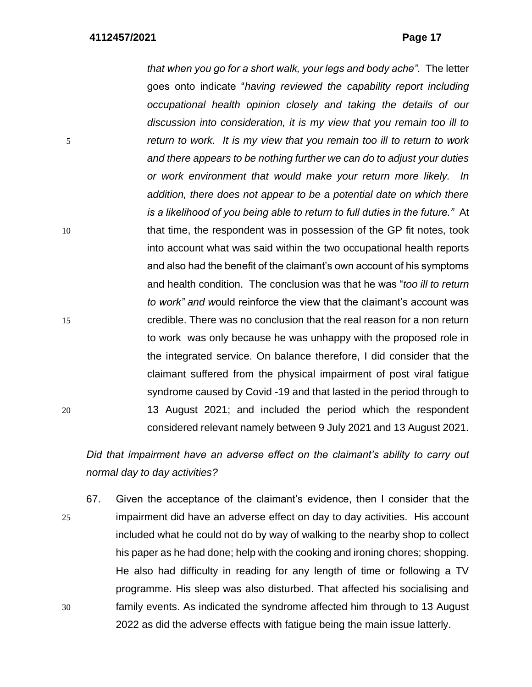*that when you go for a short walk, your legs and body ache".* The letter goes onto indicate "*having reviewed the capability report including occupational health opinion closely and taking the details of our discussion into consideration, it is my view that you remain too ill to*  5 *return to work. It is my view that you remain too ill to return to work and there appears to be nothing further we can do to adjust your duties or work environment that would make your return more likely. In addition, there does not appear to be a potential date on which there is a likelihood of you being able to return to full duties in the future."* At 10 that time, the respondent was in possession of the GP fit notes, took into account what was said within the two occupational health reports and also had the benefit of the claimant's own account of his symptoms and health condition. The conclusion was that he was "*too ill to return to work" and w*ould reinforce the view that the claimant's account was 15 credible. There was no conclusion that the real reason for a non return to work was only because he was unhappy with the proposed role in the integrated service. On balance therefore, I did consider that the claimant suffered from the physical impairment of post viral fatigue syndrome caused by Covid -19 and that lasted in the period through to 20 13 August 2021; and included the period which the respondent considered relevant namely between 9 July 2021 and 13 August 2021.

*Did that impairment have an adverse effect on the claimant's ability to carry out normal day to day activities?*

67. Given the acceptance of the claimant's evidence, then I consider that the 25 impairment did have an adverse effect on day to day activities. His account included what he could not do by way of walking to the nearby shop to collect his paper as he had done; help with the cooking and ironing chores; shopping. He also had difficulty in reading for any length of time or following a TV programme. His sleep was also disturbed. That affected his socialising and 30 family events. As indicated the syndrome affected him through to 13 August 2022 as did the adverse effects with fatigue being the main issue latterly.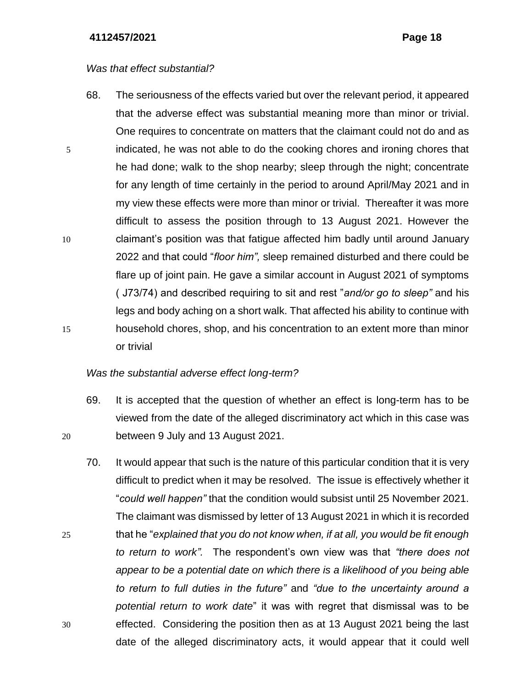## *Was that effect substantial?*

68. The seriousness of the effects varied but over the relevant period, it appeared that the adverse effect was substantial meaning more than minor or trivial. One requires to concentrate on matters that the claimant could not do and as 5 indicated, he was not able to do the cooking chores and ironing chores that he had done; walk to the shop nearby; sleep through the night; concentrate for any length of time certainly in the period to around April/May 2021 and in my view these effects were more than minor or trivial. Thereafter it was more difficult to assess the position through to 13 August 2021. However the 10 claimant's position was that fatigue affected him badly until around January 2022 and that could "*floor him",* sleep remained disturbed and there could be flare up of joint pain. He gave a similar account in August 2021 of symptoms ( J73/74) and described requiring to sit and rest "*and/or go to sleep"* and his legs and body aching on a short walk. That affected his ability to continue with 15 household chores, shop, and his concentration to an extent more than minor or trivial

## *Was the substantial adverse effect long-term?*

- 69. It is accepted that the question of whether an effect is long-term has to be viewed from the date of the alleged discriminatory act which in this case was 20 between 9 July and 13 August 2021.
- 70. It would appear that such is the nature of this particular condition that it is very difficult to predict when it may be resolved. The issue is effectively whether it "*could well happen"* that the condition would subsist until 25 November 2021. The claimant was dismissed by letter of 13 August 2021 in which it is recorded 25 that he "*explained that you do not know when, if at all, you would be fit enough to return to work".* The respondent's own view was that *"there does not appear to be a potential date on which there is a likelihood of you being able to return to full duties in the future"* and *"due to the uncertainty around a potential return to work date*" it was with regret that dismissal was to be 30 effected. Considering the position then as at 13 August 2021 being the last date of the alleged discriminatory acts, it would appear that it could well